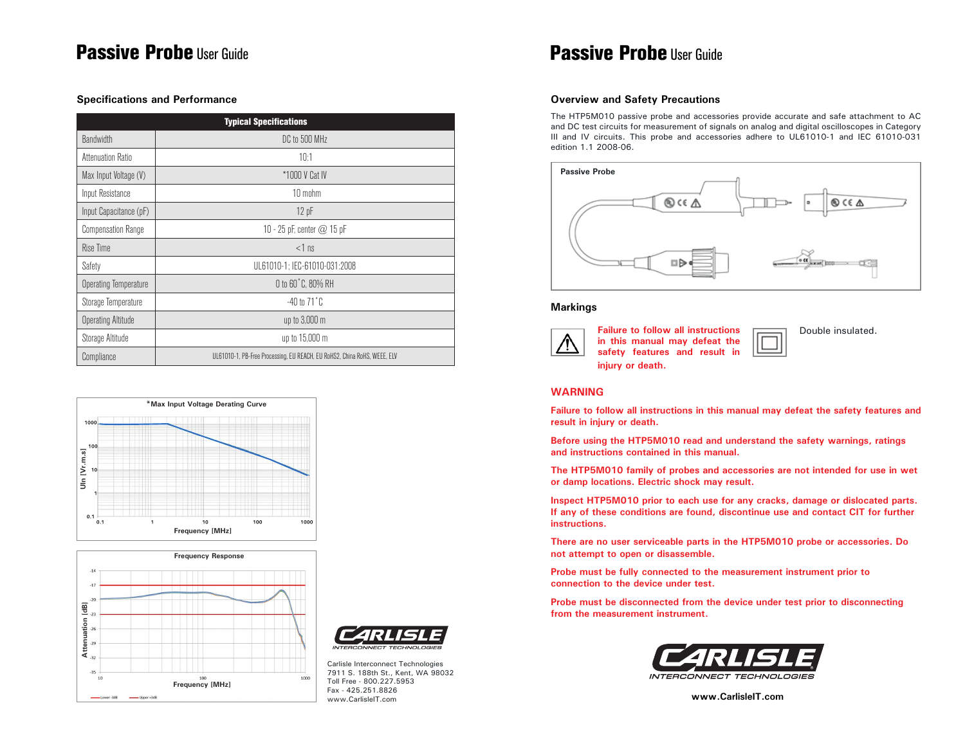## **Passive Probe** User Guide **Probe User Guide Passive Probe User Guide**

#### **Specifications and Performance**

| <b>Typical Specifications</b> |                                                                          |  |
|-------------------------------|--------------------------------------------------------------------------|--|
| <b>Bandwidth</b>              | DC to 500 MHz                                                            |  |
| Attenuation Ratio             | 10:1                                                                     |  |
| Max Input Voltage (V)         | *1000 V Cat IV                                                           |  |
| Input Resistance              | 10 mohm                                                                  |  |
| Input Capacitance (pF)        | 12 pF                                                                    |  |
| <b>Compensation Range</b>     | 10 - 25 pF, center $@$ 15 pF                                             |  |
| Rise Time                     | $<$ 1 ns                                                                 |  |
| Safety                        | UL61010-1; IEC-61010-031:2008                                            |  |
| <b>Operating Temperature</b>  | 0 to 60°C, 80% RH                                                        |  |
| Storage Temperature           | $-40$ to $71^{\circ}$ C                                                  |  |
| <b>Operating Altitude</b>     | up to 3,000 m                                                            |  |
| Storage Altitude              | up to 15,000 m                                                           |  |
| Compliance                    | UL61010-1, PB-Free Processing, EU REACH, EU RoHS2, China RoHS, WEEE, ELV |  |







Carlisle Interconnect Technologies 7911 S. 188th St., Kent, WA 98032 Toll Free - 800.227.5953 Fax - 425.251.8826 www.CarlisleIT.com

#### **Overview and Safety Precautions**

The HTP5M010 passive probe and accessories provide accurate and safe attachment to AC and DC test circuits for measurement of signals on analog and digital oscilloscopes in Category III and IV circuits. This probe and accessories adhere to UL61010-1 and IEC 61010-031 edition 1.1 2008-06.



#### **Markings**



**Failure to follow all instructions in this manual may defeat the safety features and result in injury or death.**

Double insulated.

#### **WARNING**

**Failure to follow all instructions in this manual may defeat the safety features and result in injury or death.**

**Before using the HTP5M010 read and understand the safety warnings, ratings and instructions contained in this manual.**

**The HTP5M010 family of probes and accessories are not intended for use in wet or damp locations. Electric shock may result.**

**Inspect HTP5M010 prior to each use for any cracks, damage or dislocated parts. If any of these conditions are found, discontinue use and contact CIT for further instructions.** 

**There are no user serviceable parts in the HTP5M010 probe or accessories. Do not attempt to open or disassemble.**

**Probe must be fully connected to the measurement instrument prior to connection to the device under test.**

**Probe must be disconnected from the device under test prior to disconnecting from the measurement instrument.**



**www.CarlisleIT.com**